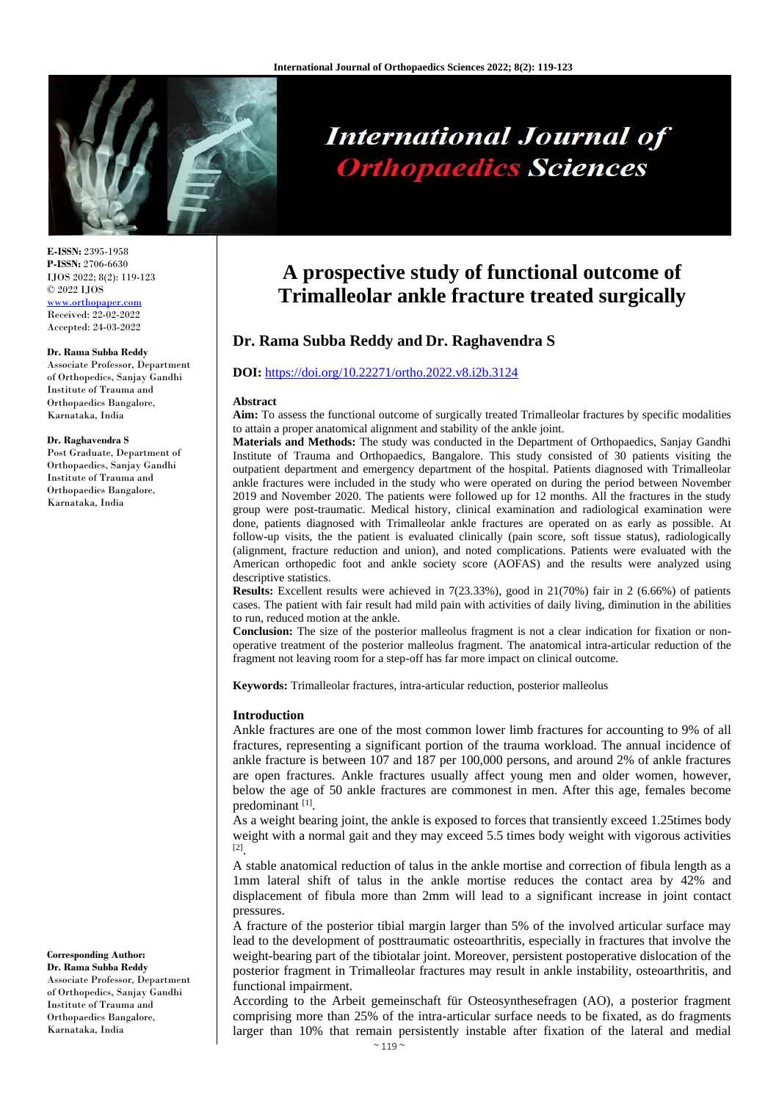

# **International Journal of Orthopaedics Sciences**

**E-ISSN:** 2395-1958 **P-ISSN:** 2706-6630 IJOS 2022; 8(2): 119-123 © 2022 IJOS [www.orthopaper.com](http://www.orthopaper.com/) Received: 22-02-2022

Accepted: 24-03-2022

#### **Dr. Rama Subba Reddy**

Associate Professor, Department of Orthopedics, Sanjay Gandhi Institute of Trauma and Orthopaedics Bangalore, Karnataka, India

#### **Dr. Raghavendra S**

Post Graduate, Department of Orthopaedics, Sanjay Gandhi Institute of Trauma and Orthopaedics Bangalore, Karnataka, India

**Corresponding Author: Dr. Rama Subba Reddy**

Associate Professor, Department of Orthopedics, Sanjay Gandhi Institute of Trauma and Orthopaedics Bangalore, Karnataka, India

# **A prospective study of functional outcome of Trimalleolar ankle fracture treated surgically**

# **Dr. Rama Subba Reddy and Dr. Raghavendra S**

### **DOI:** <https://doi.org/10.22271/ortho.2022.v8.i2b.3124>

#### **Abstract**

**Aim:** To assess the functional outcome of surgically treated Trimalleolar fractures by specific modalities to attain a proper anatomical alignment and stability of the ankle joint.

**Materials and Methods:** The study was conducted in the Department of Orthopaedics, Sanjay Gandhi Institute of Trauma and Orthopaedics, Bangalore. This study consisted of 30 patients visiting the outpatient department and emergency department of the hospital. Patients diagnosed with Trimalleolar ankle fractures were included in the study who were operated on during the period between November 2019 and November 2020. The patients were followed up for 12 months. All the fractures in the study group were post-traumatic. Medical history, clinical examination and radiological examination were done, patients diagnosed with Trimalleolar ankle fractures are operated on as early as possible. At follow-up visits, the the patient is evaluated clinically (pain score, soft tissue status), radiologically (alignment, fracture reduction and union), and noted complications. Patients were evaluated with the American orthopedic foot and ankle society score (AOFAS) and the results were analyzed using descriptive statistics.

**Results:** Excellent results were achieved in 7(23.33%), good in 21(70%) fair in 2 (6.66%) of patients cases. The patient with fair result had mild pain with activities of daily living, diminution in the abilities to run, reduced motion at the ankle.

**Conclusion:** The size of the posterior malleolus fragment is not a clear indication for fixation or nonoperative treatment of the posterior malleolus fragment. The anatomical intra-articular reduction of the fragment not leaving room for a step-off has far more impact on clinical outcome.

**Keywords:** Trimalleolar fractures, intra-articular reduction, posterior malleolus

#### **Introduction**

Ankle fractures are one of the most common lower limb fractures for accounting to 9% of all fractures, representing a significant portion of the trauma workload. The annual incidence of ankle fracture is between 107 and 187 per 100,000 persons, and around 2% of ankle fractures are open fractures. Ankle fractures usually affect young men and older women, however, below the age of 50 ankle fractures are commonest in men. After this age, females become predominant [1].

As a weight bearing joint, the ankle is exposed to forces that transiently exceed 1.25times body weight with a normal gait and they may exceed 5.5 times body weight with vigorous activities [2] .

A stable anatomical reduction of talus in the ankle mortise and correction of fibula length as a 1mm lateral shift of talus in the ankle mortise reduces the contact area by 42% and displacement of fibula more than 2mm will lead to a significant increase in joint contact pressures.

A fracture of the posterior tibial margin larger than 5% of the involved articular surface may lead to the development of posttraumatic osteoarthritis, especially in fractures that involve the weight-bearing part of the tibiotalar joint. Moreover, persistent postoperative dislocation of the posterior fragment in Trimalleolar fractures may result in ankle instability, osteoarthritis, and functional impairment.

According to the Arbeit gemeinschaft für Osteosynthesefragen (AO), a posterior fragment comprising more than 25% of the intra-articular surface needs to be fixated, as do fragments larger than 10% that remain persistently instable after fixation of the lateral and medial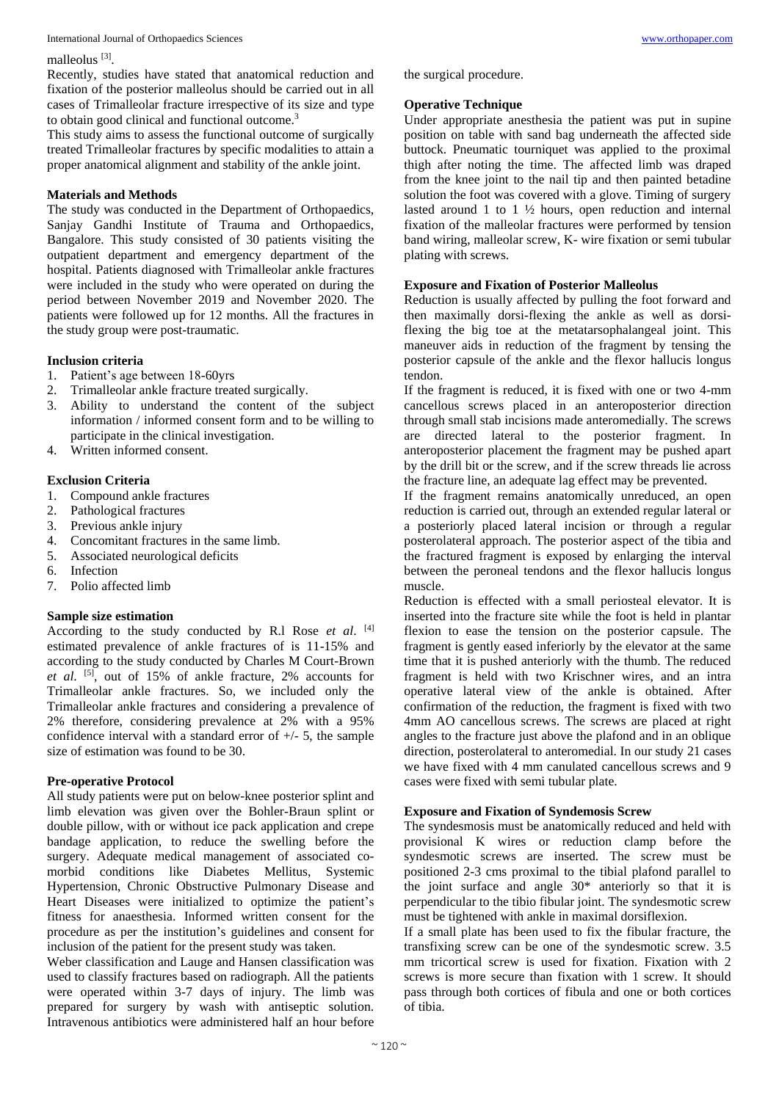#### International Journal of Orthopaedics Sciences [www.orthopaper.com](http://www.orthopaper.com/)

### malleolus<sup>[3]</sup>.

Recently, studies have stated that anatomical reduction and fixation of the posterior malleolus should be carried out in all cases of Trimalleolar fracture irrespective of its size and type to obtain good clinical and functional outcome.<sup>3</sup>

This study aims to assess the functional outcome of surgically treated Trimalleolar fractures by specific modalities to attain a proper anatomical alignment and stability of the ankle joint.

# **Materials and Methods**

The study was conducted in the Department of Orthopaedics, Sanjay Gandhi Institute of Trauma and Orthopaedics, Bangalore. This study consisted of 30 patients visiting the outpatient department and emergency department of the hospital. Patients diagnosed with Trimalleolar ankle fractures were included in the study who were operated on during the period between November 2019 and November 2020. The patients were followed up for 12 months. All the fractures in the study group were post-traumatic.

# **Inclusion criteria**

- 1. Patient's age between 18-60yrs
- 2. Trimalleolar ankle fracture treated surgically.
- 3. Ability to understand the content of the subject information / informed consent form and to be willing to participate in the clinical investigation.
- 4. Written informed consent.

# **Exclusion Criteria**

- 1. Compound ankle fractures
- 2. Pathological fractures
- 3. Previous ankle injury
- 4. Concomitant fractures in the same limb.
- 5. Associated neurological deficits
- 6. Infection
- 7. Polio affected limb

### **Sample size estimation**

According to the study conducted by R.l Rose *et al*. [4] estimated prevalence of ankle fractures of is 11-15% and according to the study conducted by Charles M Court-Brown *et al*. [5] , out of 15% of ankle fracture, 2% accounts for Trimalleolar ankle fractures. So, we included only the Trimalleolar ankle fractures and considering a prevalence of 2% therefore, considering prevalence at 2% with a 95% confidence interval with a standard error of  $+/-$  5, the sample size of estimation was found to be 30.

# **Pre-operative Protocol**

All study patients were put on below-knee posterior splint and limb elevation was given over the Bohler-Braun splint or double pillow, with or without ice pack application and crepe bandage application, to reduce the swelling before the surgery. Adequate medical management of associated comorbid conditions like Diabetes Mellitus, Systemic Hypertension, Chronic Obstructive Pulmonary Disease and Heart Diseases were initialized to optimize the patient's fitness for anaesthesia. Informed written consent for the procedure as per the institution's guidelines and consent for inclusion of the patient for the present study was taken.

Weber classification and Lauge and Hansen classification was used to classify fractures based on radiograph. All the patients were operated within 3-7 days of injury. The limb was prepared for surgery by wash with antiseptic solution. Intravenous antibiotics were administered half an hour before

the surgical procedure.

# **Operative Technique**

Under appropriate anesthesia the patient was put in supine position on table with sand bag underneath the affected side buttock. Pneumatic tourniquet was applied to the proximal thigh after noting the time. The affected limb was draped from the knee joint to the nail tip and then painted betadine solution the foot was covered with a glove. Timing of surgery lasted around 1 to 1 ½ hours, open reduction and internal fixation of the malleolar fractures were performed by tension band wiring, malleolar screw, K- wire fixation or semi tubular plating with screws.

# **Exposure and Fixation of Posterior Malleolus**

Reduction is usually affected by pulling the foot forward and then maximally dorsi-flexing the ankle as well as dorsiflexing the big toe at the metatarsophalangeal joint. This maneuver aids in reduction of the fragment by tensing the posterior capsule of the ankle and the flexor hallucis longus tendon.

If the fragment is reduced, it is fixed with one or two 4-mm cancellous screws placed in an anteroposterior direction through small stab incisions made anteromedially. The screws are directed lateral to the posterior fragment. In anteroposterior placement the fragment may be pushed apart by the drill bit or the screw, and if the screw threads lie across the fracture line, an adequate lag effect may be prevented.

If the fragment remains anatomically unreduced, an open reduction is carried out, through an extended regular lateral or a posteriorly placed lateral incision or through a regular posterolateral approach. The posterior aspect of the tibia and the fractured fragment is exposed by enlarging the interval between the peroneal tendons and the flexor hallucis longus muscle.

Reduction is effected with a small periosteal elevator. It is inserted into the fracture site while the foot is held in plantar flexion to ease the tension on the posterior capsule. The fragment is gently eased inferiorly by the elevator at the same time that it is pushed anteriorly with the thumb. The reduced fragment is held with two Krischner wires, and an intra operative lateral view of the ankle is obtained. After confirmation of the reduction, the fragment is fixed with two 4mm AO cancellous screws. The screws are placed at right angles to the fracture just above the plafond and in an oblique direction, posterolateral to anteromedial. In our study 21 cases we have fixed with 4 mm canulated cancellous screws and 9 cases were fixed with semi tubular plate.

# **Exposure and Fixation of Syndemosis Screw**

The syndesmosis must be anatomically reduced and held with provisional K wires or reduction clamp before the syndesmotic screws are inserted. The screw must be positioned 2-3 cms proximal to the tibial plafond parallel to the joint surface and angle 30\* anteriorly so that it is perpendicular to the tibio fibular joint. The syndesmotic screw must be tightened with ankle in maximal dorsiflexion.

If a small plate has been used to fix the fibular fracture, the transfixing screw can be one of the syndesmotic screw. 3.5 mm tricortical screw is used for fixation. Fixation with 2 screws is more secure than fixation with 1 screw. It should pass through both cortices of fibula and one or both cortices of tibia.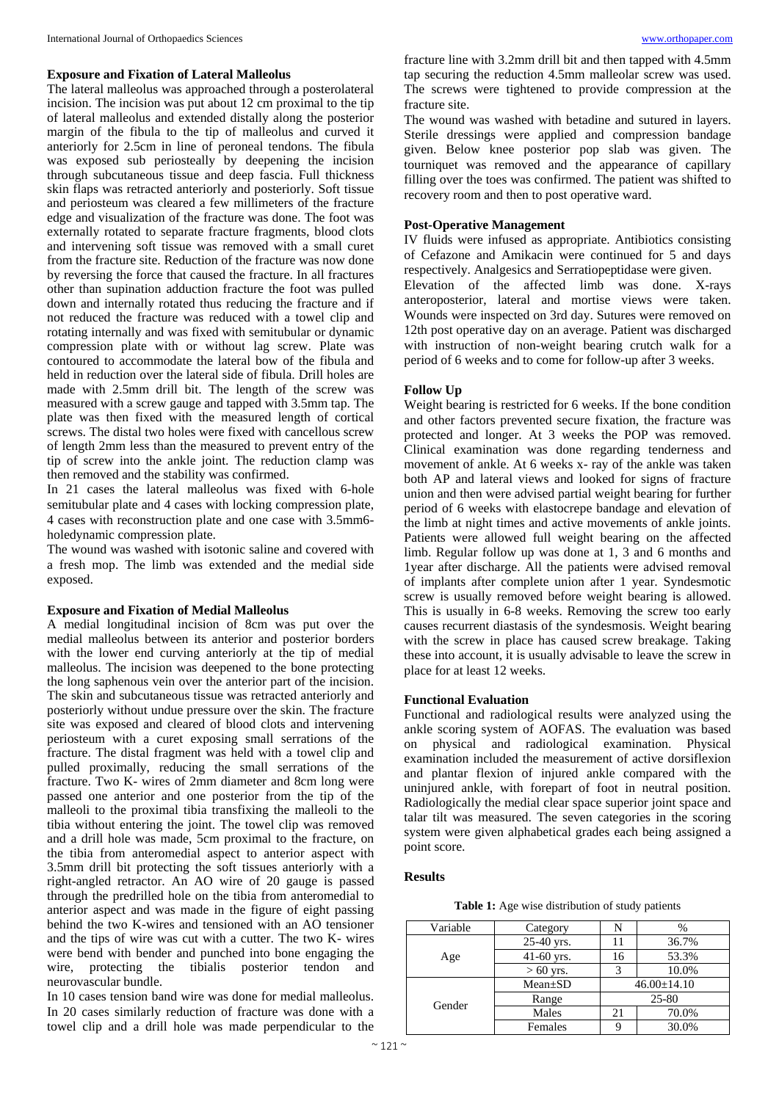#### **Exposure and Fixation of Lateral Malleolus**

The lateral malleolus was approached through a posterolateral incision. The incision was put about 12 cm proximal to the tip of lateral malleolus and extended distally along the posterior margin of the fibula to the tip of malleolus and curved it anteriorly for 2.5cm in line of peroneal tendons. The fibula was exposed sub periosteally by deepening the incision through subcutaneous tissue and deep fascia. Full thickness skin flaps was retracted anteriorly and posteriorly. Soft tissue and periosteum was cleared a few millimeters of the fracture edge and visualization of the fracture was done. The foot was externally rotated to separate fracture fragments, blood clots and intervening soft tissue was removed with a small curet from the fracture site. Reduction of the fracture was now done by reversing the force that caused the fracture. In all fractures other than supination adduction fracture the foot was pulled down and internally rotated thus reducing the fracture and if not reduced the fracture was reduced with a towel clip and rotating internally and was fixed with semitubular or dynamic compression plate with or without lag screw. Plate was contoured to accommodate the lateral bow of the fibula and held in reduction over the lateral side of fibula. Drill holes are made with 2.5mm drill bit. The length of the screw was measured with a screw gauge and tapped with 3.5mm tap. The plate was then fixed with the measured length of cortical screws. The distal two holes were fixed with cancellous screw of length 2mm less than the measured to prevent entry of the tip of screw into the ankle joint. The reduction clamp was then removed and the stability was confirmed.

In 21 cases the lateral malleolus was fixed with 6-hole semitubular plate and 4 cases with locking compression plate, 4 cases with reconstruction plate and one case with 3.5mm6 holedynamic compression plate.

The wound was washed with isotonic saline and covered with a fresh mop. The limb was extended and the medial side exposed.

## **Exposure and Fixation of Medial Malleolus**

A medial longitudinal incision of 8cm was put over the medial malleolus between its anterior and posterior borders with the lower end curving anteriorly at the tip of medial malleolus. The incision was deepened to the bone protecting the long saphenous vein over the anterior part of the incision. The skin and subcutaneous tissue was retracted anteriorly and posteriorly without undue pressure over the skin. The fracture site was exposed and cleared of blood clots and intervening periosteum with a curet exposing small serrations of the fracture. The distal fragment was held with a towel clip and pulled proximally, reducing the small serrations of the fracture. Two K- wires of 2mm diameter and 8cm long were passed one anterior and one posterior from the tip of the malleoli to the proximal tibia transfixing the malleoli to the tibia without entering the joint. The towel clip was removed and a drill hole was made, 5cm proximal to the fracture, on the tibia from anteromedial aspect to anterior aspect with 3.5mm drill bit protecting the soft tissues anteriorly with a right-angled retractor. An AO wire of 20 gauge is passed through the predrilled hole on the tibia from anteromedial to anterior aspect and was made in the figure of eight passing behind the two K-wires and tensioned with an AO tensioner and the tips of wire was cut with a cutter. The two K- wires were bend with bender and punched into bone engaging the wire, protecting the tibialis posterior tendon and neurovascular bundle.

In 10 cases tension band wire was done for medial malleolus. In 20 cases similarly reduction of fracture was done with a towel clip and a drill hole was made perpendicular to the

fracture line with 3.2mm drill bit and then tapped with 4.5mm tap securing the reduction 4.5mm malleolar screw was used. The screws were tightened to provide compression at the fracture site.

The wound was washed with betadine and sutured in layers. Sterile dressings were applied and compression bandage given. Below knee posterior pop slab was given. The tourniquet was removed and the appearance of capillary filling over the toes was confirmed. The patient was shifted to recovery room and then to post operative ward.

# **Post-Operative Management**

IV fluids were infused as appropriate. Antibiotics consisting of Cefazone and Amikacin were continued for 5 and days respectively. Analgesics and Serratiopeptidase were given. Elevation of the affected limb was done. X-rays anteroposterior, lateral and mortise views were taken.

Wounds were inspected on 3rd day. Sutures were removed on 12th post operative day on an average. Patient was discharged with instruction of non-weight bearing crutch walk for a period of 6 weeks and to come for follow-up after 3 weeks.

### **Follow Up**

Weight bearing is restricted for 6 weeks. If the bone condition and other factors prevented secure fixation, the fracture was protected and longer. At 3 weeks the POP was removed. Clinical examination was done regarding tenderness and movement of ankle. At 6 weeks x- ray of the ankle was taken both AP and lateral views and looked for signs of fracture union and then were advised partial weight bearing for further period of 6 weeks with elastocrepe bandage and elevation of the limb at night times and active movements of ankle joints. Patients were allowed full weight bearing on the affected limb. Regular follow up was done at 1, 3 and 6 months and 1year after discharge. All the patients were advised removal of implants after complete union after 1 year. Syndesmotic screw is usually removed before weight bearing is allowed. This is usually in 6-8 weeks. Removing the screw too early causes recurrent diastasis of the syndesmosis. Weight bearing with the screw in place has caused screw breakage. Taking these into account, it is usually advisable to leave the screw in place for at least 12 weeks.

#### **Functional Evaluation**

Functional and radiological results were analyzed using the ankle scoring system of AOFAS. The evaluation was based on physical and radiological examination. Physical examination included the measurement of active dorsiflexion and plantar flexion of injured ankle compared with the uninjured ankle, with forepart of foot in neutral position. Radiologically the medial clear space superior joint space and talar tilt was measured. The seven categories in the scoring system were given alphabetical grades each being assigned a point score.

#### **Results**

**Table 1:** Age wise distribution of study patients

| Variable | Category      | N                 | %     |  |
|----------|---------------|-------------------|-------|--|
|          | 25-40 yrs.    |                   | 36.7% |  |
| Age      | 41-60 yrs.    | 16                | 53.3% |  |
|          | $> 60$ yrs.   |                   | 10.0% |  |
| Gender   | $Mean \pm SD$ | $46.00 \pm 14.10$ |       |  |
|          | Range         | 25-80             |       |  |
|          | Males         | 21                | 70.0% |  |
|          | Females       |                   | 30.0% |  |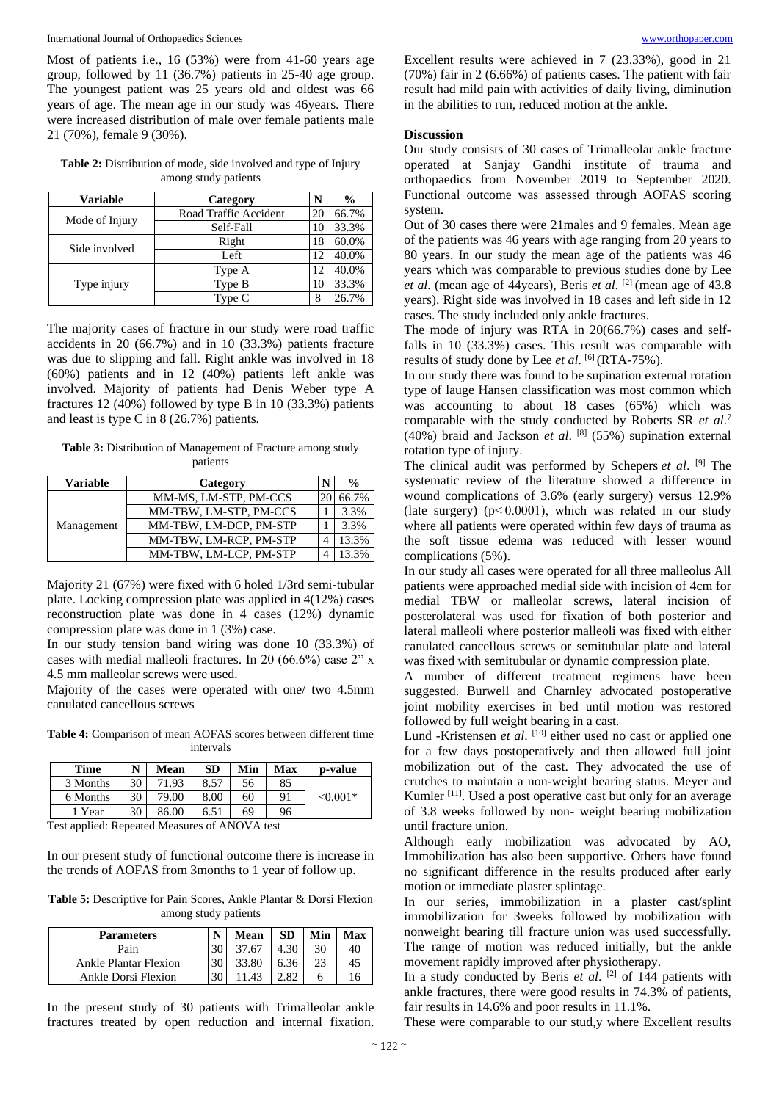Most of patients i.e., 16 (53%) were from 41-60 years age group, followed by 11 (36.7%) patients in 25-40 age group. The youngest patient was 25 years old and oldest was 66 years of age. The mean age in our study was 46years. There were increased distribution of male over female patients male 21 (70%), female 9 (30%).

**Table 2:** Distribution of mode, side involved and type of Injury among study patients

| <b>Variable</b> | Category              | N  | $\frac{0}{0}$ |
|-----------------|-----------------------|----|---------------|
|                 | Road Traffic Accident |    | 66.7%         |
| Mode of Injury  | Self-Fall             |    | 33.3%         |
| Side involved   | Right                 |    | 60.0%         |
|                 | Left                  | 12 | 40.0%         |
|                 | Type A                | 12 | 40.0%         |
| Type injury     | Type B                |    | 33.3%         |
|                 | Tvpe C                | 8  | 26.7%         |

The majority cases of fracture in our study were road traffic accidents in 20 (66.7%) and in 10 (33.3%) patients fracture was due to slipping and fall. Right ankle was involved in 18 (60%) patients and in 12 (40%) patients left ankle was involved. Majority of patients had Denis Weber type A fractures 12 (40%) followed by type B in 10 (33.3%) patients and least is type C in 8 (26.7%) patients.

**Table 3:** Distribution of Management of Fracture among study patients

| <b>Variable</b> | Category               |  | $\frac{0}{0}$ |
|-----------------|------------------------|--|---------------|
| Management      | MM-MS, LM-STP, PM-CCS  |  | 66.7%         |
|                 | MM-TBW, LM-STP, PM-CCS |  | 3.3%          |
|                 | MM-TBW, LM-DCP, PM-STP |  | 3.3%          |
|                 | MM-TBW, LM-RCP, PM-STP |  | 13.3%         |
|                 | MM-TBW, LM-LCP, PM-STP |  |               |

Majority 21 (67%) were fixed with 6 holed 1/3rd semi-tubular plate. Locking compression plate was applied in 4(12%) cases reconstruction plate was done in 4 cases (12%) dynamic compression plate was done in 1 (3%) case.

In our study tension band wiring was done 10 (33.3%) of cases with medial malleoli fractures. In 20 (66.6%) case 2" x 4.5 mm malleolar screws were used.

Majority of the cases were operated with one/ two 4.5mm canulated cancellous screws

**Table 4:** Comparison of mean AOFAS scores between different time intervals

| Time     | N  | Mean  | SD   | Min | Max | p-value     |
|----------|----|-------|------|-----|-----|-------------|
| 3 Months | 30 | 71.93 | 8.57 | 56  | 85  |             |
| 6 Months | 30 | 79.00 | 8.00 | 60  | 91  | ${<}0.001*$ |
| 1 Year   | 30 | 86.00 | 6.51 | 69  | 96  |             |

Test applied: Repeated Measures of ANOVA test

In our present study of functional outcome there is increase in the trends of AOFAS from 3months to 1 year of follow up.

**Table 5:** Descriptive for Pain Scores, Ankle Plantar & Dorsi Flexion among study patients

| <b>Parameters</b>     | N  | Mean  | SD   | Min | Max |
|-----------------------|----|-------|------|-----|-----|
| Pain                  | 30 | 37.67 |      | 30  | 40  |
| Ankle Plantar Flexion | 30 | 33.80 | 6.36 | 23  | 45  |
| Ankle Dorsi Flexion   |    |       |      |     |     |

In the present study of 30 patients with Trimalleolar ankle fractures treated by open reduction and internal fixation.

Excellent results were achieved in 7 (23.33%), good in 21 (70%) fair in 2 (6.66%) of patients cases. The patient with fair result had mild pain with activities of daily living, diminution in the abilities to run, reduced motion at the ankle.

#### **Discussion**

Our study consists of 30 cases of Trimalleolar ankle fracture operated at Sanjay Gandhi institute of trauma and orthopaedics from November 2019 to September 2020. Functional outcome was assessed through AOFAS scoring system.

Out of 30 cases there were 21males and 9 females. Mean age of the patients was 46 years with age ranging from 20 years to 80 years. In our study the mean age of the patients was 46 years which was comparable to previous studies done by Lee *et al*. (mean age of 44years), Beris *et al*. [2] (mean age of 43.8 years). Right side was involved in 18 cases and left side in 12 cases. The study included only ankle fractures.

The mode of injury was RTA in 20(66.7%) cases and selffalls in 10 (33.3%) cases. This result was comparable with results of study done by Lee et al. [6] (RTA-75%).

In our study there was found to be supination external rotation type of lauge Hansen classification was most common which was accounting to about 18 cases (65%) which was comparable with the study conducted by Roberts SR *et al*. 7 (40%) braid and Jackson *et al*. [8] (55%) supination external rotation type of injury.

The clinical audit was performed by Schepers *et al*. [9] The systematic review of the literature showed a difference in wound complications of 3.6% (early surgery) versus 12.9% (late surgery) ( $p$ < 0.0001), which was related in our study where all patients were operated within few days of trauma as the soft tissue edema was reduced with lesser wound complications (5%).

In our study all cases were operated for all three malleolus All patients were approached medial side with incision of 4cm for medial TBW or malleolar screws, lateral incision of posterolateral was used for fixation of both posterior and lateral malleoli where posterior malleoli was fixed with either canulated cancellous screws or semitubular plate and lateral was fixed with semitubular or dynamic compression plate.

A number of different treatment regimens have been suggested. Burwell and Charnley advocated postoperative joint mobility exercises in bed until motion was restored followed by full weight bearing in a cast.

Lund -Kristensen et al. [10] either used no cast or applied one for a few days postoperatively and then allowed full joint mobilization out of the cast. They advocated the use of crutches to maintain a non-weight bearing status. Meyer and Kumler<sup>[11]</sup>. Used a post operative cast but only for an average of 3.8 weeks followed by non- weight bearing mobilization until fracture union.

Although early mobilization was advocated by AO, Immobilization has also been supportive. Others have found no significant difference in the results produced after early motion or immediate plaster splintage.

In our series, immobilization in a plaster cast/splint immobilization for 3weeks followed by mobilization with nonweight bearing till fracture union was used successfully. The range of motion was reduced initially, but the ankle movement rapidly improved after physiotherapy.

In a study conducted by Beris *et al*. [2] of 144 patients with ankle fractures, there were good results in 74.3% of patients, fair results in 14.6% and poor results in 11.1%.

These were comparable to our stud,y where Excellent results